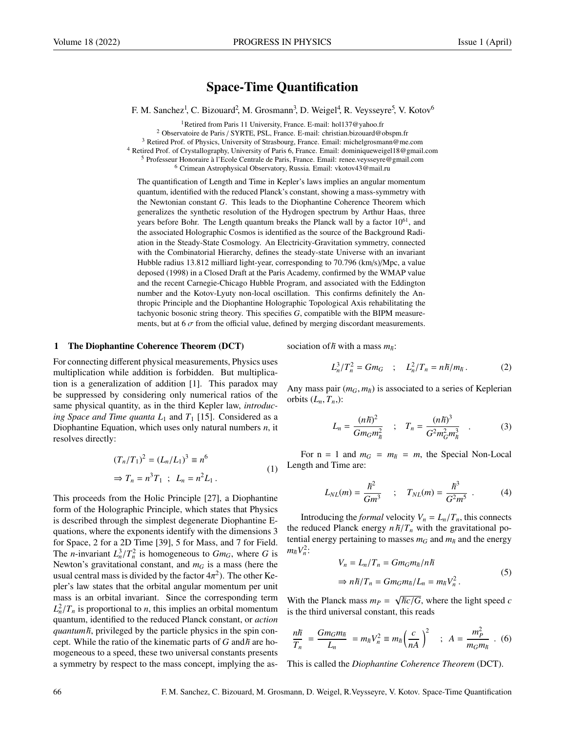# Space-Time Quantification

F. M. Sanchez<sup>1</sup>, C. Bizouard<sup>2</sup>, M. Grosmann<sup>3</sup>, D. Weigel<sup>4</sup>, R. Veysseyre<sup>5</sup>, V. Kotov<sup>6</sup>

Retired from Paris 11 University, France. E-mail: hol137@yahoo.fr Observatoire de Paris / SYRTE, PSL, France. E-mail: christian.bizouard@obspm.fr Retired Prof. of Physics, University of Strasbourg, France. Email: michelgrosmann@me.com Retired Prof. of Crystallography, University of Paris 6, France. Email: dominiqueweigel18@gmail.com <sup>5</sup> Professeur Honoraire à l'Ecole Centrale de Paris, France. Email: renee.veysseyre@gmail.com Crimean Astrophysical Observatory, Russia. Email: vkotov43@mail.ru

The quantification of Length and Time in Kepler's laws implies an angular momentum quantum, identified with the reduced Planck's constant, showing a mass-symmetry with the Newtonian constant *G*. This leads to the Diophantine Coherence Theorem which generalizes the synthetic resolution of the Hydrogen spectrum by Arthur Haas, three years before Bohr. The Length quantum breaks the Planck wall by a factor  $10^{61}$ , and the associated Holographic Cosmos is identified as the source of the Background Radiation in the Steady-State Cosmology. An Electricity-Gravitation symmetry, connected with the Combinatorial Hierarchy, defines the steady-state Universe with an invariant Hubble radius 13.812 milliard light-year, corresponding to 70.796 (km/s)/Mpc, a value deposed (1998) in a Closed Draft at the Paris Academy, confirmed by the WMAP value and the recent Carnegie-Chicago Hubble Program, and associated with the Eddington number and the Kotov-Lyuty non-local oscillation. This confirms definitely the Anthropic Principle and the Diophantine Holographic Topological Axis rehabilitating the tachyonic bosonic string theory. This specifies *G*, compatible with the BIPM measurements, but at  $6\sigma$  from the official value, defined by merging discordant measurements.

#### 1 The Diophantine Coherence Theorem (DCT)

For connecting different physical measurements, Physics uses multiplication while addition is forbidden. But multiplication is a generalization of addition [1]. This paradox may be suppressed by considering only numerical ratios of the same physical quantity, as in the third Kepler law, *introducing Space and Time quanta*  $L_1$  and  $T_1$  [15]. Considered as a Diophantine Equation, which uses only natural numbers *n*, it resolves directly:

$$
(T_n/T_1)^2 = (L_n/L_1)^3 \equiv n^6
$$
  
\n
$$
\Rightarrow T_n = n^3 T_1 ; L_n = n^2 L_1.
$$
 (1)

This proceeds from the Holic Principle [27], a Diophantine form of the Holographic Principle, which states that Physics is described through the simplest degenerate Diophantine Equations, where the exponents identify with the dimensions 3 for Space, 2 for a 2D Time [39], 5 for Mass, and 7 for Field. The *n*-invariant  $L_n^3/T_n^2$  is homogeneous to  $Gm_G$ , where *G* is<br>Newton's gravitational constant, and  $m_G$  is a mass (here the Newton's gravitational constant, and  $m<sub>G</sub>$  is a mass (here the usual central mass is divided by the factor  $4\pi^2$ ). The other Ke-<br>pler's law states that the orbital angular momentum per unit pler's law states that the orbital angular momentum per unit mass is an orbital invariant. Since the corresponding term  $L_n^2/T_n$  is proportional to *n*, this implies an orbital momentum<br>quantum identified to the reduced Planck constant, or *action* quantum, identified to the reduced Planck constant, or *action quantumh*, privileged by the particle physics in the spin concept. While the ratio of the kinematic parts of  $G$  and  $\hbar$  are homogeneous to a speed, these two universal constants presents a symmetry by respect to the mass concept, implying the association of  $\hbar$  with a mass  $m_{\hbar}$ .

$$
L_n^3/T_n^2 = Gm_G \quad ; \quad L_n^2/T_n = n\hbar/m_{\hbar} \,. \tag{2}
$$

Any mass pair  $(m_G, m_{\bar{h}})$  is associated to a series of Keplerian orbits  $(L_n, T_n)$ :

$$
L_n = \frac{(n\hbar)^2}{Gm_Gm_{\hbar}^2} \quad ; \quad T_n = \frac{(n\hbar)^3}{G^2m_G^2m_{\hbar}^3} \quad . \tag{3}
$$

For  $n = 1$  and  $m_G = m_{\hbar} = m$ , the Special Non-Local Length and Time are:

$$
L_{NL}(m) = \frac{\hbar^2}{Gm^3} \quad ; \quad T_{NL}(m) = \frac{\hbar^3}{G^2m^5} \quad . \tag{4}
$$

Introducing the *formal* velocity  $V_n = L_n/T_n$ , this connects the reduced Planck energy  $n \hbar / T_n$  with the gravitational potential energy pertaining to masses  $m_G$  and  $m_{\bar{h}}$  and the energy  $m_{\bar{n}} V_n^2$ :

$$
V_n = L_n/T_n = Gm_Gm_{\bar{n}}/n\bar{n}
$$
  
\n
$$
\Rightarrow n\bar{n}/T_n = Gm_Gm_{\bar{n}}/L_n = m_{\bar{n}}V_n^2.
$$
 (5)

With the Planck mass  $m_P =$ √  $\overline{hc}/\overline{G}$ , where the light speed *c* bis reads is the third universal constant, this reads

$$
\frac{n\hbar}{T_n} = \frac{Gm_Gm_{\hbar}}{L_n} = m_{\hbar}V_n^2 \equiv m_{\hbar} \left(\frac{c}{nA}\right)^2 \quad ; \quad A = \frac{m_P^2}{m_Gm_{\hbar}} \quad . \tag{6}
$$

This is called the *Diophantine Coherence Theorem* (DCT).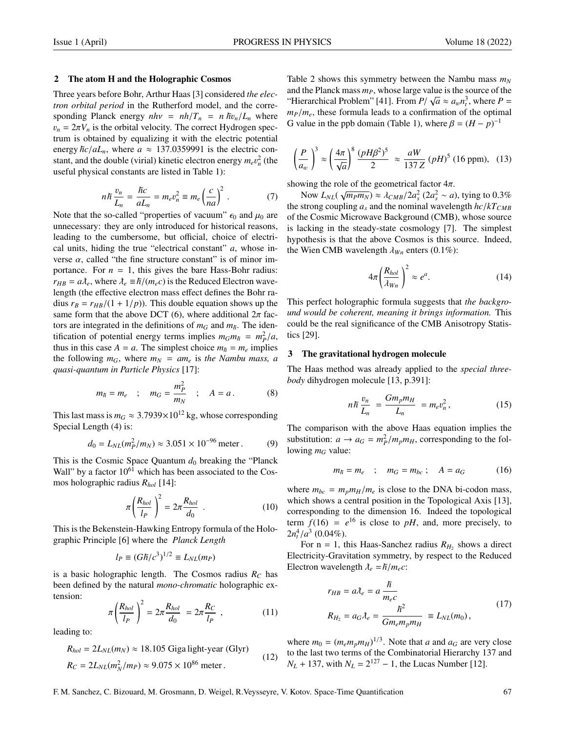#### 2 The atom H and the Holographic Cosmos

Three years before Bohr, Arthur Haas [3] considered *the electron orbital period* in the Rutherford model, and the corresponding Planck energy  $nhv = nh/T_n = n \hbar v_n/L_n$  where  $v_n = 2\pi V_n$  is the orbital velocity. The correct Hydrogen spectrum is obtained by equalizing it with the electric potential energy  $\hbar c/aL_n$ , where  $a \approx 137.0359991$  is the electric constant, and the double (virial) kinetic electron energy  $m_e v_n^2$  (the useful physical constants are listed in Table 1): useful physical constants are listed in Table 1):

$$
n\hbar \frac{v_n}{L_n} = \frac{\hbar c}{aL_n} = m_e v_n^2 \equiv m_e \left(\frac{c}{na}\right)^2. \tag{7}
$$

Note that the so-called "properties of vacuum"  $\epsilon_0$  and  $\mu_0$  are unnecessary: they are only introduced for historical reasons, leading to the cumbersome, but official, choice of electrical units, hiding the true "electrical constant" *a*, whose inverse  $\alpha$ , called "the fine structure constant" is of minor importance. For  $n = 1$ , this gives the bare Hass-Bohr radius:  $r_{HB} = a\lambda_e$ , where  $\lambda_e \equiv \hbar/(m_e c)$  is the Reduced Electron wavelength (the effective electron mass effect defines the Bohr radius  $r_B = r_{HB}/(1 + 1/p)$ . This double equation shows up the same form that the above DCT (6), where additional  $2\pi$  factors are integrated in the definitions of  $m_G$  and  $m_{\bar{h}}$ . The identification of potential energy terms implies  $m_G m_h = m_P^2/a$ ,<br>thus in this case  $4 - a$ . The simplest choice  $m_2 - m$ , implies thus in this case  $A = a$ . The simplest choice  $m_h = m_e$  implies the following  $m_G$ , where  $m_N = am_e$  is the Nambu mass, a *quasi-quantum in Particle Physics* [17]:

$$
m_{\bar{n}} = m_e
$$
;  $m_G = \frac{m_P^2}{m_N}$ ;  $A = a$ . (8)

This last mass is  $m_G \approx 3.7939 \times 10^{12}$  kg, whose corresponding Special Length (4) is:

$$
d_0 = L_{NL}(m_P^2/m_N) \approx 3.051 \times 10^{-96} \text{ meter.}
$$
 (9)

This is the Cosmic Space Quantum  $d_0$  breaking the "Planck" Wall" by a factor  $10^{61}$  which has been associated to the Cosmos holographic radius *Rhol* [14]:

$$
\pi \left(\frac{R_{hol}}{l_P}\right)^2 = 2\pi \frac{R_{hol}}{d_0} \tag{10}
$$

This is the Bekenstein-Hawking Entropy formula of the Holographic Principle [6] where the *Planck Length*

$$
l_P \equiv (G\hbar/c^3)^{1/2} \equiv L_{NL}(m_P)
$$

is a basic holographic length. The Cosmos radius  $R_C$  has been defined by the natural *mono-chromatic* holographic extension:

$$
\pi \left( \frac{R_{hol}}{l_P} \right)^2 = 2\pi \frac{R_{hol}}{d_0} = 2\pi \frac{R_C}{l_P} \tag{11}
$$

leading to:

$$
R_{hol} = 2L_{NL}(m_N) \approx 18.105 \text{ Gigalight-year (Glyr)}
$$
  
\n
$$
R_C = 2L_{NL}(m_N^2/m_P) \approx 9.075 \times 10^{86} \text{ meter.}
$$
\n(12)

Table 2 shows this symmetry between the Nambu mass *m<sup>N</sup>* and the Planck mass  $m_p$ , whose large value is the source of the  $\left(\frac{1}{2}\right)$ "Hierarchical Problem" [41]. From  $P/\sqrt{a} \approx a_w n_t^3$ , where  $P =$ <br> $m_{\gamma}/m$ , these formula leads to a confirmation of the optimal  $m_p/m_e$ , these formula leads to a confirmation of the optimal G value in the ppb domain (Table 1), where  $\beta = (H - p)^{-1}$ 

$$
\left(\frac{P}{a_w}\right)^3 \approx \left(\frac{4\pi}{\sqrt{a}}\right)^8 \frac{(pH\beta^2)^5}{2} \approx \frac{aW}{137Z} (pH)^5 (16 \text{ ppm}), \quad (13)
$$

showing the role of the geometrical factor  $4\pi$ .

Now  $L_{NL}(\sqrt{m_P m_N}) \approx \lambda_{CMB}/2a_s^2$  ( $2a_s^2 \sim a$ ), tying to 0.3%<br>strong counting *a*, and the nominal wavelength he/kTown the strong coupling  $a_s$  and the nominal wavelength  $hc/kT_{CMB}$ of the Cosmic Microwave Background (CMB), whose source is lacking in the steady-state cosmology [7]. The simplest hypothesis is that the above Cosmos is this source. Indeed, the Wien CMB wavelength  $\lambda_{Wn}$  enters (0.1%):

$$
4\pi \left(\frac{R_{hol}}{\lambda_{Wn}}\right)^2 \approx e^a.
$$
 (14)

This perfect holographic formula suggests that *the background would be coherent, meaning it brings information.* This could be the real significance of the CMB Anisotropy Statistics [29].

#### 3 The gravitational hydrogen molecule

The Haas method was already applied to the *special threebody* dihydrogen molecule [13, p.391]:

$$
n\hbar \frac{v_n}{L_n} = \frac{Gm_p m_H}{L_n} = m_e v_n^2, \qquad (15)
$$

The comparison with the above Haas equation implies the substitution:  $a \rightarrow a_G = m_P^2/m_p m_H$ , corresponding to the fol-<br>lowing  $m_G$  value: lowing  $m_G$  value:

$$
m_{\overline{h}} = m_e \quad ; \quad m_G = m_{bc} \; ; \quad A = a_G \tag{16}
$$

where  $m_{bc} = m_p m_H/m_e$  is close to the DNA bi-codon mass, which shows a central position in the Topological Axis [13], corresponding to the dimension 16. Indeed the topological term  $f(16) = e^{16}$  is close to *pH*, and, more precisely, to  $2n_t^4/a^3$  (0.04%).<br>For  $n = 1$  t

For  $n = 1$ , this Haas-Sanchez radius  $R_{H_2}$  shows a direct Electricity-Gravitation symmetry, by respect to the Reduced Electron wavelength  $\lambda_e = \hbar/m_e c$ :

$$
r_{HB} = a\lambda_e = a\frac{\hbar}{m_e c}
$$
  
\n
$$
R_{H_2} = a_G \lambda_e = \frac{\hbar^2}{Gm_e m_p m_H} \equiv L_{NL}(m_0),
$$
\n(17)

where  $m_0 = (m_e m_p m_H)^{1/3}$ . Note that *a* and  $a_G$  are very close to the last two terms of the Combinatorial Hierarchy 137 and  $N_L$  + 137, with  $N_L = 2^{127} - 1$ , the Lucas Number [12].

F. M. Sanchez, C. Bizouard, M. Grosmann, D. Weigel, R.Veysseyre, V. Kotov. Space-Time Quantification 67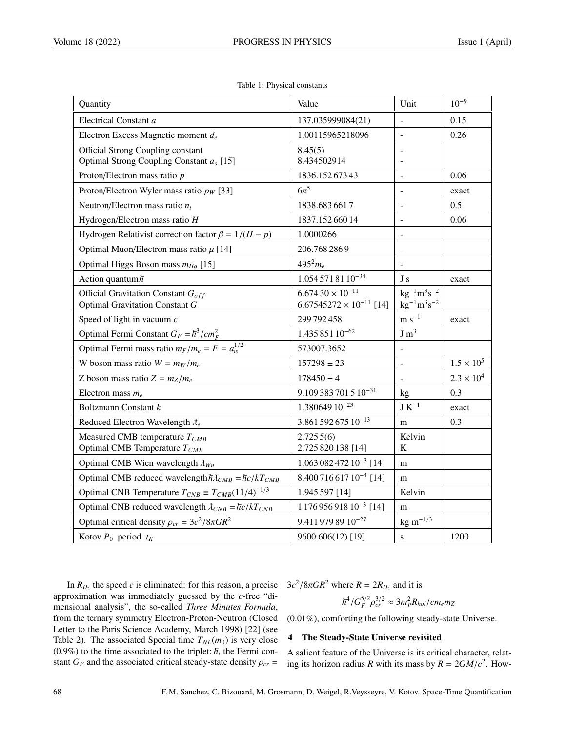| Quantity                                                               | Value                               | Unit                     | $10^{-9}$           |
|------------------------------------------------------------------------|-------------------------------------|--------------------------|---------------------|
| Electrical Constant a                                                  | 137.035999084(21)                   |                          | 0.15                |
| Electron Excess Magnetic moment $d_e$                                  | 1.00115965218096                    | $\blacksquare$           | 0.26                |
| <b>Official Strong Coupling constant</b>                               | 8.45(5)                             |                          |                     |
| Optimal Strong Coupling Constant $a_s$ [15]                            | 8.434502914                         |                          |                     |
| Proton/Electron mass ratio p                                           | 1836.15267343                       |                          | 0.06                |
| Proton/Electron Wyler mass ratio $p_W$ [33]                            | $6\pi^5$                            | $\overline{\phantom{a}}$ | exact               |
| Neutron/Electron mass ratio $n_t$                                      | 1838.6836617                        | $\blacksquare$           | 0.5                 |
| Hydrogen/Electron mass ratio $H$                                       | 1837.15266014                       | $\overline{\phantom{a}}$ | 0.06                |
| Hydrogen Relativist correction factor $\beta = 1/(H - p)$              | 1.0000266                           |                          |                     |
| Optimal Muon/Electron mass ratio $\mu$ [14]                            | 206.768 2869                        | $\overline{\phantom{a}}$ |                     |
| Optimal Higgs Boson mass $m_{Hq}$ [15]                                 | $495^{2}m_{e}$                      |                          |                     |
| Action quantum $\hbar$                                                 | $1.0545718110^{-34}$                | J s                      | exact               |
| Official Gravitation Constant $G_{off}$                                | $6.67430 \times 10^{-11}$           | $kg^{-1}m^3s^{-2}$       |                     |
| Optimal Gravitation Constant G                                         | $6.67545272 \times 10^{-11}$ [14]   | $\rm kg^{-1}m^{3}s^{-2}$ |                     |
| Speed of light in vacuum $c$                                           | 299 792 458                         | $m s^{-1}$               | exact               |
| Optimal Fermi Constant $G_F = \hbar^3 / c m_F^2$                       | $1.43585110^{-62}$                  | J m <sup>3</sup>         |                     |
| Optimal Fermi mass ratio $m_F/m_e = F = a_w^{1/2}$                     | 573007.3652                         |                          |                     |
| W boson mass ratio $W = m_W/m_e$                                       | $157298 \pm 23$                     |                          | $1.5 \times 10^{5}$ |
| Z boson mass ratio $Z = m_Z/m_e$                                       | $178450 \pm 4$                      | $\blacksquare$           | $2.3 \times 10^{4}$ |
| Electron mass $m_e$                                                    | $9.109383701510^{-31}$              | kg                       | 0.3                 |
| Boltzmann Constant k                                                   | $1.380649\,10^{-23}$                | $\rm J~K^{-1}$           | exact               |
| Reduced Electron Wavelength $\lambda_e$                                | $3.86159267510^{-13}$               | m                        | 0.3                 |
| Measured CMB temperature $T_{CMB}$                                     | 2.7255(6)                           | Kelvin                   |                     |
| Optimal CMB Temperature $T_{CMB}$                                      | 2.725 820 138 [14]                  | $\bf K$                  |                     |
| Optimal CMB Wien wavelength $\lambda_{Wn}$                             | $1.06308247210^{-3}$ [14]           | m                        |                     |
| Optimal CMB reduced wavelength $\hbar\lambda_{CMB} = \hbar c/kT_{CMB}$ | $8.40071661710^{-4}$ [14]           | m                        |                     |
| Optimal CNB Temperature $T_{CNB} \equiv T_{CMB}(11/4)^{-1/3}$          | 1.945 597 [14]                      | Kelvin                   |                     |
| Optimal CNB reduced wavelength $\lambda_{CNB} = \hbar c / kT_{CNB}$    | 1 176 956 918 10 <sup>-3</sup> [14] | m                        |                     |
| Optimal critical density $\rho_{cr} = 3c^2/8\pi G R^2$                 | 9.411 979 89 10 <sup>-27</sup>      | $kg \ m^{-1/3}$          |                     |
| Kotov $P_0$ period $t_K$                                               | 9600.606(12)[19]                    | S                        | 1200                |

|  |  |  | Table 1: Physical constants |
|--|--|--|-----------------------------|
|--|--|--|-----------------------------|

In  $R_{H_2}$  the speed *c* is eliminated: for this reason, a precise approximation was immediately guessed by the *c*-free "dimensional analysis", the so-called *Three Minutes Formula*, from the ternary symmetry Electron-Proton-Neutron (Closed Letter to the Paris Science Academy, March 1998) [22] (see Table 2). The associated Special time  $T_{NL}(m_0)$  is very close  $(0.9\%)$  to the time associated to the triplet:  $\hbar$ , the Fermi constant  $G_F$  and the associated critical steady-state density  $\rho_{cr}$  =

 $3c^2/8\pi G R^2$  where  $R = 2R_{H_2}$  and it is

$$
\hbar^4/G_F^{5/2}\rho_{cr}^{3/2}\approx 3m_P^2R_{hol}/cm_em_Z
$$

(0.01%), comforting the following steady-state Universe.

### 4 The Steady-State Universe revisited

A salient feature of the Universe is its critical character, relating its horizon radius *R* with its mass by  $R = 2GM/c^2$ . How-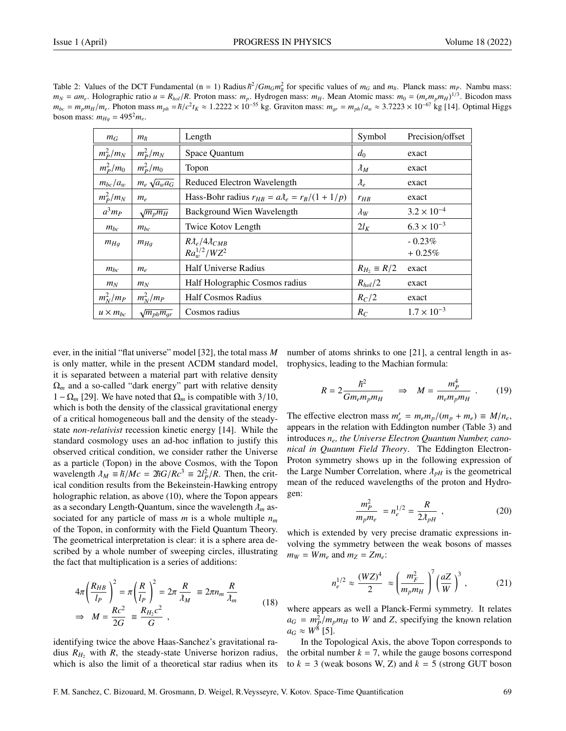| Table 2: Values of the DCT Fundamental (n = 1) Radius $\hbar^2/Gm_Gm_g^2$ for specific values of $m_G$ and $m_{\bar{h}}$ . Planck mass: $m_P$ . Nambu mass:                                 |  |
|---------------------------------------------------------------------------------------------------------------------------------------------------------------------------------------------|--|
| $m_N = am_e$ . Holographic ratio $u = R_{hol}/R$ . Proton mass: $m_p$ . Hydrogen mass: $m_H$ . Mean Atomic mass: $m_0 = (m_e m_p m_H)^{1/3}$ . Bicodon mass                                 |  |
| $m_{bc} = m_p m_H/m_e$ . Photon mass $m_{ph} = \hbar/c^2 t_K \approx 1.2222 \times 10^{-55}$ kg. Graviton mass: $m_{ar} = m_{ph}/a_w \approx 3.7223 \times 10^{-67}$ kg [14]. Optimal Higgs |  |
| boson mass: $m_{Ha} = 495^2 m_e$ .                                                                                                                                                          |  |
|                                                                                                                                                                                             |  |

| $m_G$             | m <sub>h</sub>        | Length                                                 | Symbol                             | Precision/offset      |
|-------------------|-----------------------|--------------------------------------------------------|------------------------------------|-----------------------|
| $m_P^2/m_N$       | $m_P^2/m_N$           | Space Quantum                                          | $d_0$                              | exact                 |
| $m_p^2/m_0$       | $m_p^2/m_0$           | Topon                                                  | $\lambda_M$                        | exact                 |
| $m_{bc}/a_w$      | $m_e \sqrt{a_w a_G}$  | Reduced Electron Wavelength                            | $\lambda_{\scriptscriptstyle\rho}$ | exact                 |
| $m_P^2/m_N$       | $m_e$                 | Hass-Bohr radius $r_{HB} = a\lambda_e = r_B/(1 + 1/p)$ | $r_{HB}$                           | exact                 |
| $a^3m_P$          | $\sqrt{m_p m_H}$      | Background Wien Wavelength                             | $\lambda_W$                        | $3.2 \times 10^{-4}$  |
| $m_{bc}$          | $m_{bc}$              | Twice Kotov Length                                     | $2l_K$                             | $6.3 \times 10^{-3}$  |
| $m_{Hg}$          | $m_{Hg}$              | $R\lambda_e/4\lambda_{CMB}$<br>$Ra_{w}^{1/2}/WZ^{2}$   |                                    | $-0.23\%$<br>$+0.25%$ |
| $m_{bc}$          | $m_e$                 | <b>Half Universe Radius</b>                            | $R_{H_2} \equiv R/2$               | exact                 |
| $m_N$             | $m_N$                 | Half Holographic Cosmos radius                         | $R_{hol}/2$                        | exact                 |
| $m_N^2/m_P$       | $m_N^2/m_P$           | <b>Half Cosmos Radius</b>                              | $R_C/2$                            | exact                 |
| $u \times m_{bc}$ | $\sqrt{m_{ph}m_{ar}}$ | Cosmos radius                                          | $R_C$                              | $1.7 \times 10^{-3}$  |

ever, in the initial "flat universe" model [32], the total mass *M* is only matter, while in the present ΛCDM standard model, it is separated between a material part with relative density  $\Omega_m$  and a so-called "dark energy" part with relative density  $1 - \Omega_m$  [29]. We have noted that  $\Omega_m$  is compatible with 3/10, which is both the density of the classical gravitational energy of a critical homogeneous ball and the density of the steadystate *non-relativist* recession kinetic energy [14]. While the standard cosmology uses an ad-hoc inflation to justify this observed critical condition, we consider rather the Universe as a particle (Topon) in the above Cosmos, with the Topon wavelength  $\lambda_M \equiv \hbar/Mc = 2\hbar G/Rc^3 \equiv 2l_P^2/R$ . Then, the crit-<br>ical condition results from the Bekeinstein-Hawking entropy ical condition results from the Bekeinstein-Hawking entropy holographic relation, as above (10), where the Topon appears as a secondary Length-Quantum, since the wavelength  $\lambda_m$  associated for any particle of mass *m* is a whole multiple *n<sup>m</sup>* of the Topon, in conformity with the Field Quantum Theory. The geometrical interpretation is clear: it is a sphere area described by a whole number of sweeping circles, illustrating the fact that multiplication is a series of additions:

$$
4\pi \left(\frac{R_{HB}}{l_P}\right)^2 = \pi \left(\frac{R}{l_P}\right)^2 = 2\pi \frac{R}{\lambda_M} \equiv 2\pi n_m \frac{R}{\lambda_m}
$$
  
\n
$$
\Rightarrow M = \frac{Rc^2}{2G} \equiv \frac{R_{H_2}c^2}{G} ,
$$
\n(18)

identifying twice the above Haas-Sanchez's gravitational radius  $R<sub>H2</sub>$  with  $R$ , the steady-state Universe horizon radius, which is also the limit of a theoretical star radius when its number of atoms shrinks to one [21], a central length in astrophysics, leading to the Machian formula:

$$
R = 2 \frac{\hbar^2}{Gm_e m_p m_H} \qquad \Rightarrow \quad M = \frac{m_p^4}{m_e m_p m_H} \quad . \tag{19}
$$

The effective electron mass  $m'_e = m_e m_p / (m_p + m_e) \equiv M / n_e$ ,<br>appears in the relation with Eddington number (Table 3) and appears in the relation with Eddington number (Table 3) and introduces *ne, the Universe Electron Quantum Number, canonical in Quantum Field Theory*. The Eddington Electron-Proton symmetry shows up in the following expression of the Large Number Correlation, where  $\lambda_{pH}$  is the geometrical mean of the reduced wavelengths of the proton and Hydrogen:

$$
\frac{m_P^2}{m_p m_e} = n_e^{1/2} = \frac{R}{2\lambda_{pH}} \tag{20}
$$

which is extended by very precise dramatic expressions involving the symmetry between the weak bosons of masses  $m_W = Wm_e$  and  $m_Z = Zm_e$ :

$$
n_e^{1/2} \approx \frac{(WZ)^4}{2} \approx \left(\frac{m_F^2}{m_p m_H}\right)^7 \left(\frac{aZ}{W}\right)^3, \tag{21}
$$

where appears as well a Planck-Fermi symmetry. It relates  $a_G = m_P^2/m_p m_H$  to *W* and *Z*, specifying the known relation  $a_G \approx W^8$  [5]  $a_G \approx W^8$  [5].

In the Topological Axis, the above Topon corresponds to the orbital number  $k = 7$ , while the gauge bosons correspond to  $k = 3$  (weak bosons W, Z) and  $k = 5$  (strong GUT boson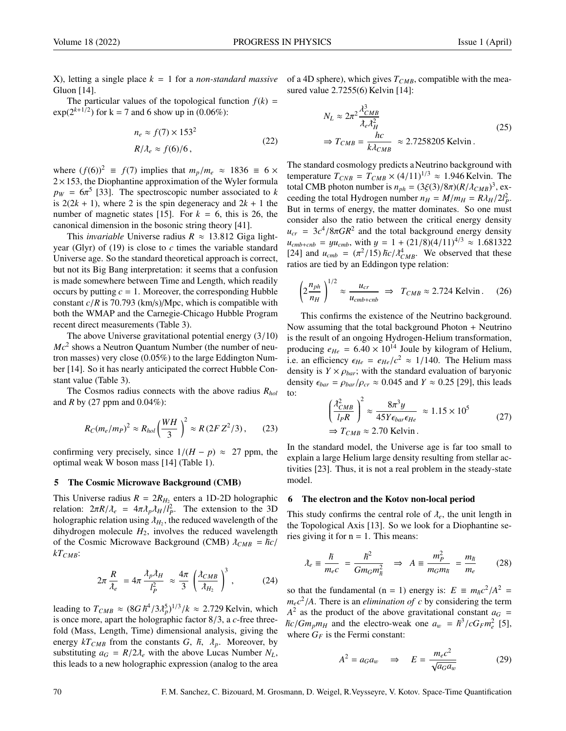X), letting a single place *k* = 1 for a *non-standard massive* Gluon [14].

The particular values of the topological function  $f(k)$  =  $exp(2^{k+1/2})$  for k = 7 and 6 show up in (0.06%):

$$
n_e \approx f(7) \times 153^2
$$
  
\n
$$
R/\lambda_e \approx f(6)/6,
$$
\n(22)

where  $(f(6))^2 \equiv f(7)$  implies that  $m_p/m_e \approx 1836 \equiv 6 \times$  $2 \times 153$ , the Diophantine approximation of the Wyler formula  $p_W = 6\pi^5$  [33]. The spectroscopic number associated to *k* is  $2(2k + 1)$  where 2 is the spin degeneracy and  $2k + 1$  the is  $2(2k + 1)$ , where 2 is the spin degeneracy and  $2k + 1$  the number of magnetic states [15]. For  $k = 6$ , this is 26, the canonical dimension in the bosonic string theory [41].

This *invariable* Universe radius  $R \approx 13.812$  Giga lightyear (Glyr) of (19) is close to *c* times the variable standard Universe age. So the standard theoretical approach is correct, but not its Big Bang interpretation: it seems that a confusion is made somewhere between Time and Length, which readily occurs by putting  $c = 1$ . Moreover, the corresponding Hubble constant *<sup>c</sup>*/*<sup>R</sup>* is 70.793 (km/s)/Mpc, which is compatible with both the WMAP and the Carnegie-Chicago Hubble Program recent direct measurements (Table 3).

The above Universe gravitational potential energy (3/10) *Mc*<sup>2</sup> shows a Neutron Quantum Number (the number of neutron masses) very close (0.05%) to the large Eddington Number [14]. So it has nearly anticipated the correct Hubble Constant value (Table 3).

The Cosmos radius connects with the above radius *Rhol* and *R* by (27 ppm and 0.04%):

$$
R_C(m_e/m_P)^2 \approx R_{hol}\left(\frac{WH}{3}\right)^2 \approx R\left(2FZ^2/3\right),\qquad (23)
$$

confirming very precisely, since  $1/(H - p) \approx 27$  ppm, the optimal weak W boson mass [14] (Table 1).

#### 5 The Cosmic Microwave Background (CMB)

This Universe radius  $R = 2R_{H_2}$  enters a 1D-2D holographic relation:  $2\pi R/\lambda_e = 4\pi \lambda_p \lambda_H/\ell_P^2$ . The extension to the 3D<br>holographic relation using  $\lambda_H$ , the reduced wavelength of the holographic relation using  $\lambda_{H_2}$ , the reduced wavelength of the dihydrogen molecule  $H_2$ , involves the reduced wavelength of the Cosmic Microwave Background (CMB)  $\lambda_{CMB} = \hbar c/$ *kTCMB*:

$$
2\pi \frac{R}{\lambda_e} = 4\pi \frac{\lambda_p \lambda_H}{l_P^2} \approx \frac{4\pi}{3} \left( \frac{\lambda_{CMB}}{\lambda_{H_2}} \right)^3, \qquad (24)
$$

leading to  $T_{CMB} \approx (8G\hbar^4/3\lambda_p^5)^{1/3}/k \approx 2.729$  Kelvin, which<br>is once more apart the holographic factor 8/3, a c-free threeis once more, apart the holographic factor 8/3, a *<sup>c</sup>*-free threefold (Mass, Length, Time) dimensional analysis, giving the energy  $kT_{CMB}$  from the constants *G*,  $\hbar$ ,  $\hbar$ <sub>p</sub>. Moreover, by substituting  $a_G = R/2\lambda_e$  with the above Lucas Number  $N_L$ , this leads to a new holographic expression (analog to the area of a 4D sphere), which gives *TCMB*, compatible with the measured value 2.7255(6) Kelvin [14]:

$$
N_L \approx 2\pi^2 \frac{\lambda_{CMB}^3}{\lambda_e \lambda_H^2}
$$
\n
$$
\Rightarrow T_{CMB} = \frac{hc}{k\lambda_{CMB}} \approx 2.7258205 \text{ Kelvin.}
$$
\n(25)

The standard cosmology predicts aNeutrino background with temperature  $T_{CNB} = T_{CMB} \times (4/11)^{1/3} \approx 1.946$  Kelvin. The total CMB photon number is  $n_{ph} = (3\xi(3)/8\pi)(R/\lambda_{CMB})^3$ , ex-<br>ceeding the total Hydrogen number  $n_{U} = M/m_{U} = R\lambda_{U}/2l^2$ ceeding the total Hydrogen number  $n_H = M/m_H = R\lambda_H/2l_P^2$ .<br>But in terms of energy, the matter dominates. So one must But in terms of energy, the matter dominates. So one must consider also the ratio between the critical energy density  $u_{cr} = 3c^4/8\pi GR^2$  and the total background energy density<br> $u_{r} = \mu u_{r} + \nu v_{r}$  with  $u = 1 + (21/8)(4/11)^{4/3} \approx 1.681322$  $u_{cmb+cnb} = yu_{cmb}$ , with  $y = 1 + (21/8)(4/11)^{4/3} \approx 1.681322$ [24] and  $u_{cmb} = (\pi^2/15) \hbar c / \lambda_{CMB}^4$ . We observed that these ratios are tied by an Eddingon type relation:

$$
\left(2\frac{n_{ph}}{n_H}\right)^{1/2} \approx \frac{u_{cr}}{u_{cmb + cmb}} \implies T_{CMB} \approx 2.724 \text{ Kelvin.}
$$
 (26)

This confirms the existence of the Neutrino background. Now assuming that the total background Photon + Neutrino is the result of an ongoing Hydrogen-Helium transformation, producing  $e_{He} = 6.40 \times 10^{14}$  Joule by kilogram of Helium, i.e. an efficiency  $\epsilon_{He} = e_{He}/c^2 \approx 1/140$ . The Helium mass<br>density is  $Y \times \alpha$ . with the standard evaluation of baryonic density is  $Y \times \rho_{bar}$ ; with the standard evaluation of baryonic density  $\epsilon_{bar} = \rho_{bar}/\rho_{cr} \approx 0.045$  and  $Y \approx 0.25$  [29], this leads to:

$$
\left(\frac{\lambda_{CMB}^2}{l_P R}\right)^2 \approx \frac{8\pi^3 y}{45Y\epsilon_{bar}\epsilon_{He}} \approx 1.15 \times 10^5
$$
\n
$$
\Rightarrow T_{CMB} \approx 2.70 \text{ Kelvin.}
$$
\n(27)

In the standard model, the Universe age is far too small to explain a large Helium large density resulting from stellar activities [23]. Thus, it is not a real problem in the steady-state model.

## 6 The electron and the Kotov non-local period

This study confirms the central role of  $\lambda_e$ , the unit length in the Topological Axis [13]. So we look for a Diophantine series giving it for  $n = 1$ . This means:

$$
\lambda_e \equiv \frac{\hbar}{m_e c} = \frac{\hbar^2}{Gm_G m_{\hbar}^2} \quad \Rightarrow \quad A \equiv \frac{m_P^2}{m_G m_{\hbar}} = \frac{m_{\hbar}}{m_e} \tag{28}
$$

so that the fundamental  $(n = 1)$  energy is:  $E = m_h c^2 / A^2 =$ <br>*m*  $c^2 / 4$ . There is an *elimination of c* by considering the term  $m_ec^2/A$ . There is an *elimination of c* by considering the term<br> $A^2$  as the product of the above gravitational constant  $a_c =$  $A^2$  as the product of the above gravitational constant  $a_G =$  $\hbar c/Gm_p m_H$  and the electro-weak one  $a_w = \hbar^3/cG_F m_e^2$  [5], where  $G_E$  is the Fermi constant: where  $G_F$  is the Fermi constant:

$$
A^2 = a_G a_w \quad \Rightarrow \quad E = \frac{m_e c^2}{\sqrt{a_G a_w}} \tag{29}
$$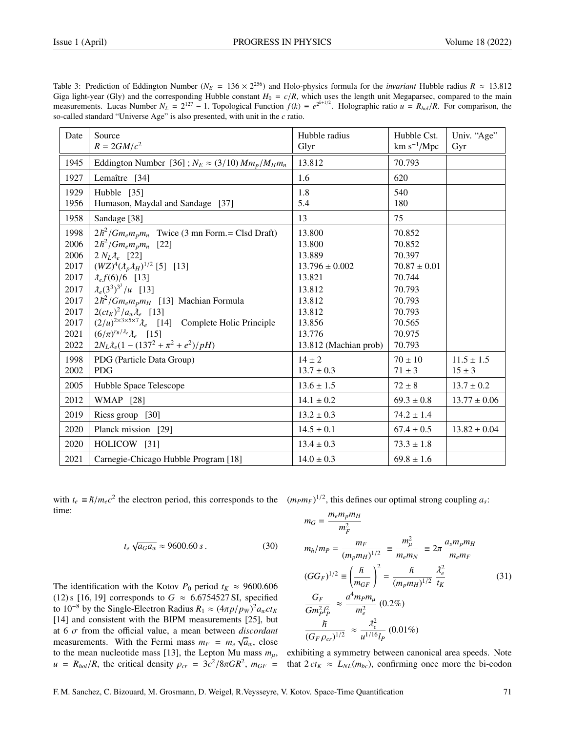| Date | Source                                                                     | Hubble radius         | Hubble Cst.      | Univ. "Age"      |
|------|----------------------------------------------------------------------------|-----------------------|------------------|------------------|
|      | $R = 2GM/c^2$                                                              | Glyr                  | $km s^{-1}/Mpc$  | Gyr              |
| 1945 | Eddington Number [36]; $N_E \approx (3/10) M m_p / M_H m_n$                | 13.812                | 70.793           |                  |
| 1927 | Lemaître [34]                                                              | 1.6                   | 620              |                  |
| 1929 | Hubble [35]                                                                | 1.8                   | 540              |                  |
| 1956 | Humason, Maydal and Sandage [37]                                           | 5.4                   | 180              |                  |
| 1958 | Sandage [38]                                                               | 13                    | 75               |                  |
| 1998 | $2\hbar^2/Gm_e m_p m_n$ Twice (3 mn Form.= Clsd Draft)                     | 13.800                | 70.852           |                  |
| 2006 | $2\hbar^2/Gm_e m_p m_n$ [22]                                               | 13.800                | 70.852           |                  |
| 2006 | $2 N_L \lambda_e$ [22]                                                     | 13.889                | 70.397           |                  |
| 2017 | $(WZ)^{4}(\lambda_{p}\lambda_{H})^{1/2}$ [5] [13]                          | $13.796 \pm 0.002$    | $70.87 \pm 0.01$ |                  |
| 2017 | $\lambda_{e} f(6)/6$ [13]                                                  | 13.821                | 70.744           |                  |
| 2017 | $\lambda_e(3^3)^{3^3}/u$ [13]                                              | 13.812                | 70.793           |                  |
| 2017 | $2\hbar^2/Gm_e m_p m_H$ [13] Machian Formula                               | 13.812                | 70.793           |                  |
| 2017 | $2(ct_K)^2/a_w\lambda_e$ [13]                                              | 13.812                | 70.793           |                  |
| 2017 | $(2/u)^{2\times3\times5\times7}$ $\lambda_e$ [14] Complete Holic Principle | 13.856                | 70.565           |                  |
| 2021 | $(6/\pi)^{r_B/\lambda_e} \lambda_e$ [15]                                   | 13.776                | 70.975           |                  |
| 2022 | $2N_L\lambda_e(1-(137^2+\pi^2+e^2)/pH)$                                    | 13.812 (Machian prob) | 70.793           |                  |
| 1998 | PDG (Particle Data Group)                                                  | $14 \pm 2$            | $70 \pm 10$      | $11.5 \pm 1.5$   |
| 2002 | <b>PDG</b>                                                                 | $13.7 \pm 0.3$        | $71 \pm 3$       | $15 \pm 3$       |
| 2005 | Hubble Space Telescope                                                     | $13.6 \pm 1.5$        | $72 \pm 8$       | $13.7 \pm 0.2$   |
| 2012 | <b>WMAP</b> [28]                                                           | $14.1 \pm 0.2$        | $69.3 \pm 0.8$   | $13.77 \pm 0.06$ |
| 2019 | Riess group [30]                                                           | $13.2 \pm 0.3$        | $74.2 \pm 1.4$   |                  |
| 2020 | Planck mission [29]                                                        | $14.5 \pm 0.1$        | $67.4 \pm 0.5$   | $13.82 \pm 0.04$ |
| 2020 | HOLICOW [31]                                                               | $13.4 \pm 0.3$        | $73.3 \pm 1.8$   |                  |
| 2021 | Carnegie-Chicago Hubble Program [18]                                       | $14.0 \pm 0.3$        | $69.8 \pm 1.6$   |                  |

Table 3: Prediction of Eddington Number ( $N_E = 136 \times 2^{256}$ ) and Holo-physics formula for the *invariant* Hubble radius  $R \approx 13.812$ <br>Give light-year (Gly) and the corresponding Hubble constant  $H_x = c/R$ , which uses the leng Giga light-year (Gly) and the corresponding Hubble constant  $H_0 = c/R$ , which uses the length unit Megaparsec, compared to the main<br>measurements. Lucas Number  $N_L = 2^{127} - 1$ . Topological Function  $f(k) \equiv e^{2^{k+1/2}}$ . Hologra so-called standard "Universe Age" is also presented, with unit in the *c* ratio.

with  $t_e \equiv \hbar/m_e c^2$  the electron period, this corresponds to the  $(m_P m_F)^{1/2}$ , this defines our optimal strong coupling *a<sub>s</sub>*: time:

$$
t_e \sqrt{a_G a_w} \approx 9600.60 s. \tag{30}
$$

The identification with the Kotov  $P_0$  period  $t_K \approx 9600.606$ (12) s [16, 19] corresponds to  $G \approx 6.6754527$  SI, specified to  $10^{-8}$  by the Single-Electron Radius  $R_1 \approx (4\pi p/p_W)^2 a_w ct_K$ <br>[14] and consistent with the BIPM measurements [25] but [14] and consistent with the BIPM measurements [25], but at 6  $\sigma$  from the official value, a mean between *discordant*<br>measurements. With the Fermi mass  $m_B = m_A/\sqrt{a}$  close measurements. With the Fermi mass  $m_F = m_e \sqrt{a_w}$ , close to the mean nucleotide mass [13], the Lepton Mu mass  $m_{\mu}$ ,<br> $m_{\mu} = R_{\mu}/R_{\mu}$  the exitient density  $g_{\mu} = 2 \pi^2 / 8 \pi G R^2$ ,  $m_{\mu}$  $u = R_{hol}/R$ , the critical density  $\rho_{cr} = 3c^2/8\pi GR^2$ ,  $m_{GF} =$ 

$$
m_G = \frac{m_e m_p m_H}{m_F^2}
$$
  
\n
$$
m_{\bar{n}}/m_P = \frac{m_F}{(m_p m_H)^{1/2}} \equiv \frac{m_{\mu}^2}{m_e m_N} \equiv 2\pi \frac{a_s m_p m_H}{m_e m_F}
$$
  
\n
$$
(GG_F)^{1/2} \equiv \left(\frac{\bar{n}}{m_{GF}}\right)^2 = \frac{\bar{n}}{(m_p m_H)^{1/2}} \frac{\lambda_e^2}{t_K}
$$
  
\n
$$
\frac{G_F}{Gm_P^2 l_P^2} \approx \frac{a^4 m_P m_\mu}{m_e^2} (0.2\%)
$$
  
\n
$$
\frac{\bar{n}}{(G_F \rho_{cr})^{1/2}} \approx \frac{\lambda_e^2}{u^{1/16} l_P} (0.01\%)
$$

exhibiting a symmetry between canonical area speeds. Note that  $2 c t_K \approx L_{NL}(m_{bc})$ , confirming once more the bi-codon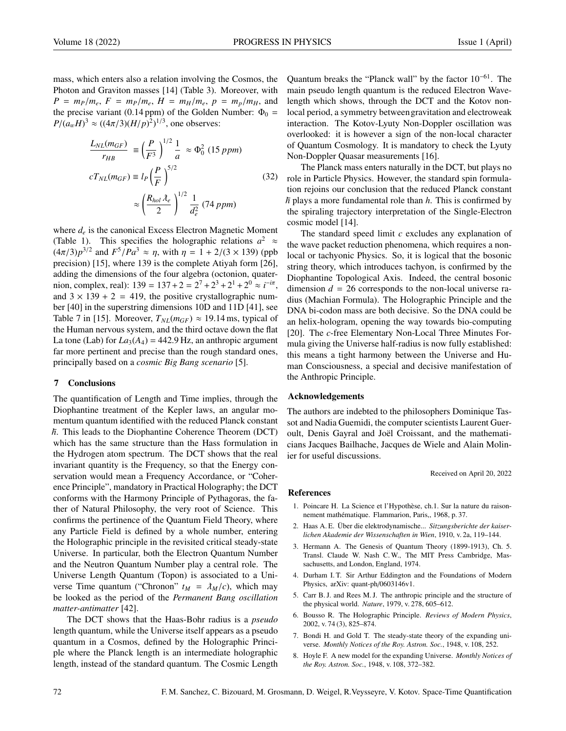mass, which enters also a relation involving the Cosmos, the Photon and Graviton masses [14] (Table 3). Moreover, with  $P = m_P/m_e, F = m_P/m_e, H = m_H/m_e, p = m_p/m_H,$  and the precise variant (0.14 ppm) of the Golden Number:  $\Phi_0$  =  $P/(a_w H)^3 \approx ((4\pi/3)(H/p)^2)^{1/3}$ , one observes:

$$
\frac{L_{NL}(m_{GF})}{r_{HB}} \equiv \left(\frac{P}{F^3}\right)^{1/2} \frac{1}{a} \approx \Phi_0^2 \ (15 \, ppm)
$$
\n
$$
cT_{NL}(m_{GF}) \equiv l_P \left(\frac{P}{F}\right)^{5/2} \approx \left(\frac{R_{hol}\lambda_e}{2}\right)^{1/2} \frac{1}{d_e^2} \ (74 \, ppm)
$$
\n(32)

where  $d_e$  is the canonical Excess Electron Magnetic Moment (Table 1). This specifies the holographic relations  $a^2 \approx$  $(4\pi/3)p^{3/2}$  and  $F^5/Pa^3 \approx \eta$ , with  $\eta = 1 + 2/(3 \times 139)$  (ppb<br>precision) [15] where 139 is the complete Ativah form [26] precision) [15], where 139 is the complete Atiyah form [26], adding the dimensions of the four algebra (octonion, quaternion, complex, real):  $139 = 137 + 2 = 2^7 + 2^3 + 2^1 + 2^0 \approx i^{-i\pi}$ , and  $3 \times 139 + 2 = 419$ , the positive crystallographic number [40] in the superstring dimensions 10D and 11D [41], see Table 7 in [15]. Moreover,  $T_{NL}(m_{GF}) \approx 19.14$  ms, typical of the Human nervous system, and the third octave down the flat La tone (Lab) for  $La_3(A_4) = 442.9$  Hz, an anthropic argument far more pertinent and precise than the rough standard ones, principally based on a *cosmic Big Bang scenario* [5].

#### 7 Conclusions

The quantification of Length and Time implies, through the Diophantine treatment of the Kepler laws, an angular momentum quantum identified with the reduced Planck constant *h*. This leads to the Diophantine Coherence Theorem (DCT) which has the same structure than the Hass formulation in the Hydrogen atom spectrum. The DCT shows that the real invariant quantity is the Frequency, so that the Energy conservation would mean a Frequency Accordance, or "Coherence Principle", mandatory in Practical Holography; the DCT conforms with the Harmony Principle of Pythagoras, the father of Natural Philosophy, the very root of Science. This confirms the pertinence of the Quantum Field Theory, where any Particle Field is defined by a whole number, entering the Holographic principle in the revisited critical steady-state Universe. In particular, both the Electron Quantum Number and the Neutron Quantum Number play a central role. The Universe Length Quantum (Topon) is associated to a Universe Time quantum ("Chronon"  $t_M = \lambda_M/c$ ), which may be looked as the period of the *Permanent Bang oscillation matter-antimatter* [42].

The DCT shows that the Haas-Bohr radius is a *pseudo* length quantum, while the Universe itself appears as a pseudo quantum in a Cosmos, defined by the Holographic Principle where the Planck length is an intermediate holographic length, instead of the standard quantum. The Cosmic Length Quantum breaks the "Planck wall" by the factor 10−61. The main pseudo length quantum is the reduced Electron Wavelength which shows, through the DCT and the Kotov nonlocal period, a symmetry between gravitation and electroweak interaction. The Kotov-Lyuty Non-Doppler oscillation was overlooked: it is however a sign of the non-local character of Quantum Cosmology. It is mandatory to check the Lyuty Non-Doppler Quasar measurements [16].

The Planck mass enters naturally in the DCT, but plays no role in Particle Physics. However, the standard spin formulation rejoins our conclusion that the reduced Planck constant  $\hbar$  plays a more fundamental role than  $\hbar$ . This is confirmed by the spiraling trajectory interpretation of the Single-Electron cosmic model [14].

The standard speed limit *c* excludes any explanation of the wave packet reduction phenomena, which requires a nonlocal or tachyonic Physics. So, it is logical that the bosonic string theory, which introduces tachyon, is confirmed by the Diophantine Topological Axis. Indeed, the central bosonic dimension  $d = 26$  corresponds to the non-local universe radius (Machian Formula). The Holographic Principle and the DNA bi-codon mass are both decisive. So the DNA could be an helix-hologram, opening the way towards bio-computing [20]. The *c*-free Elementary Non-Local Three Minutes Formula giving the Universe half-radius is now fully established: this means a tight harmony between the Universe and Human Consciousness, a special and decisive manifestation of the Anthropic Principle.

#### Acknowledgements

The authors are indebted to the philosophers Dominique Tassot and Nadia Guemidi, the computer scientists Laurent Gueroult, Denis Gayral and Joël Croissant, and the mathematicians Jacques Bailhache, Jacques de Wiele and Alain Molinier for useful discussions.

Received on April 20, 2022

#### References

- 1. Poincare H. La Science et l'Hypothèse, ch.1. Sur la nature du raisonnement mathématique. Flammarion, Paris,, 1968, p. 37.
- 2. Haas A.E. Über die elektrodynamische... Sitzungsberichte der kaiser*lichen Akademie der Wissenschaften in Wien*, 1910, v. 2a, 119–144.
- 3. Hermann A. The Genesis of Quantum Theory (1899-1913), Ch. 5. Transl. Claude W. Nash C. W., The MIT Press Cambridge, Massachusetts, and London, England, 1974.
- 4. Durham I. T. Sir Arthur Eddington and the Foundations of Modern Physics, arXiv: quant-ph/0603146v1.
- 5. Carr B. J. and Rees M. J. The anthropic principle and the structure of the physical world. *Nature*, 1979, v. 278, 605–612.
- 6. Bousso R. The Holographic Principle. *Reviews of Modern Physics*, 2002, v. 74 (3), 825–874.
- 7. Bondi H. and Gold T. The steady-state theory of the expanding universe. *Monthly Notices of the Roy. Astron. Soc.*, 1948, v. 108, 252.
- 8. Hoyle F. A new model for the expanding Universe. *Monthly Notices of the Roy. Astron. Soc.*, 1948, v. 108, 372–382.